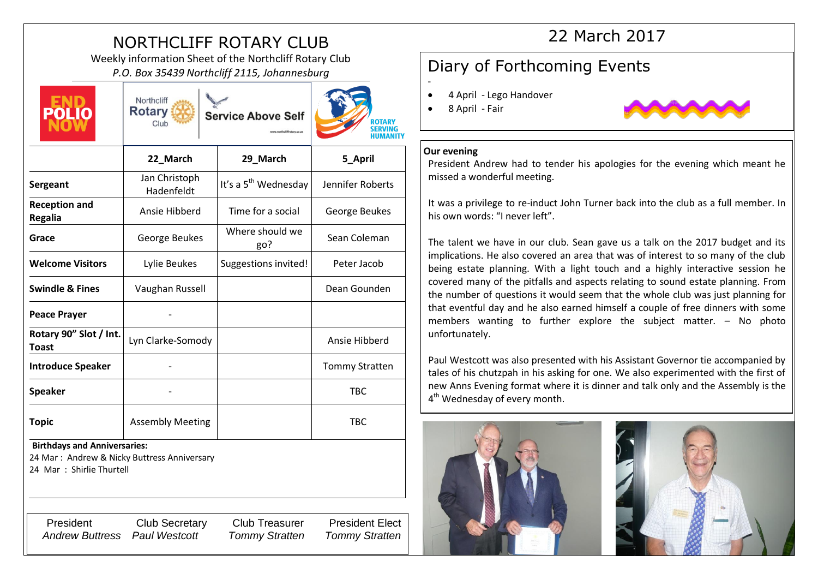# NORTHCLIFF ROTARY CLUB

Weekly information Sheet of the Northcliff Rotary Club *P.O. Box 35439 Northcliff 2115, Johannesburg* **Diary of Forthcoming Events** 



Northcliff **Rotary** Service Above Self Club



|                                                                                                                 | 22 March                    | 29_March                         | 5 April               |
|-----------------------------------------------------------------------------------------------------------------|-----------------------------|----------------------------------|-----------------------|
| Sergeant                                                                                                        | Jan Christoph<br>Hadenfeldt | It's a 5 <sup>th</sup> Wednesday | Jennifer Roberts      |
| <b>Reception and</b><br><b>Regalia</b>                                                                          | Ansie Hibberd               | Time for a social                | George Beukes         |
| Grace                                                                                                           | George Beukes               | Where should we<br>go?           | Sean Coleman          |
| <b>Welcome Visitors</b>                                                                                         | Lylie Beukes                | Suggestions invited!             | Peter Jacob           |
| <b>Swindle &amp; Fines</b>                                                                                      | Vaughan Russell             |                                  | Dean Gounden          |
| <b>Peace Prayer</b>                                                                                             |                             |                                  |                       |
| Rotary 90" Slot / Int.<br><b>Toast</b>                                                                          | Lyn Clarke-Somody           |                                  | Ansie Hibberd         |
| <b>Introduce Speaker</b>                                                                                        |                             |                                  | <b>Tommy Stratten</b> |
| <b>Speaker</b>                                                                                                  |                             |                                  | <b>TBC</b>            |
| <b>Topic</b>                                                                                                    | <b>Assembly Meeting</b>     |                                  | <b>TBC</b>            |
| <b>Birthdays and Anniversaries:</b><br>24 Mar: Andrew & Nicky Buttress Anniversary<br>24 Mar : Shirlie Thurtell |                             |                                  |                       |

President Club Secretary Club Treasurer President Elect *Andrew Buttress Paul Westcott Tommy Stratten Tommy Stratten*

# 22 March 2017

- 4 April Lego Handover
- 8 April Fair



### **Our evening**

-

President Andrew had to tender his apologies for the evening which meant he missed a wonderful meeting.

It was a privilege to re-induct John Turner back into the club as a full member. In his own words: "I never left".

The talent we have in our club. Sean gave us a talk on the 2017 budget and its implications. He also covered an area that was of interest to so many of the club being estate planning. With a light touch and a highly interactive session he covered many of the pitfalls and aspects relating to sound estate planning. From the number of questions it would seem that the whole club was just planning for that eventful day and he also earned himself a couple of free dinners with some members wanting to further explore the subject matter. – No photo unfortunately.

Paul Westcott was also presented with his Assistant Governor tie accompanied by tales of his chutzpah in his asking for one. We also experimented with the first of new Anns Evening format where it is dinner and talk only and the Assembly is the 4<sup>th</sup> Wednesday of every month.